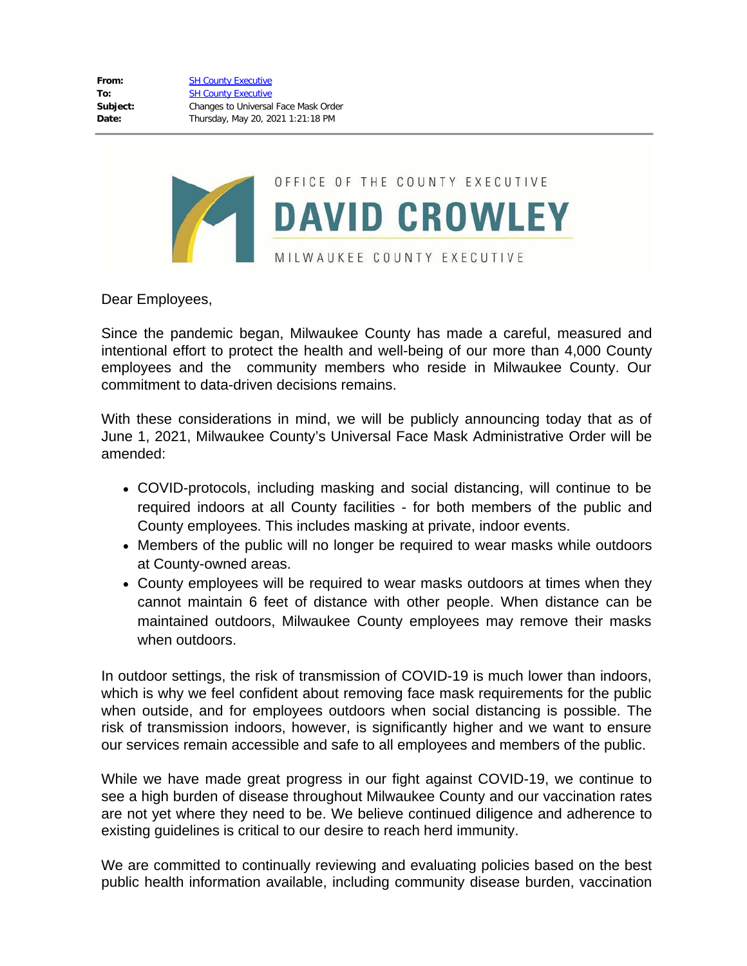

Dear Employees,

Since the pandemic began, Milwaukee County has made a careful, measured and intentional effort to protect the health and well-being of our more than 4,000 County employees and the community members who reside in Milwaukee County. Our commitment to data-driven decisions remains.

With these considerations in mind, we will be publicly announcing today that as of June 1, 2021, Milwaukee County's Universal Face Mask Administrative Order will be amended:

- COVID-protocols, including masking and social distancing, will continue to be required indoors at all County facilities - for both members of the public and County employees. This includes masking at private, indoor events.
- Members of the public will no longer be required to wear masks while outdoors at County-owned areas.
- County employees will be required to wear masks outdoors at times when they cannot maintain 6 feet of distance with other people. When distance can be maintained outdoors, Milwaukee County employees may remove their masks when outdoors.

In outdoor settings, the risk of transmission of COVID-19 is much lower than indoors, which is why we feel confident about removing face mask requirements for the public when outside, and for employees outdoors when social distancing is possible. The risk of transmission indoors, however, is significantly higher and we want to ensure our services remain accessible and safe to all employees and members of the public.

While we have made great progress in our fight against COVID-19, we continue to see a high burden of disease throughout Milwaukee County and our vaccination rates are not yet where they need to be. We believe continued diligence and adherence to existing guidelines is critical to our desire to reach herd immunity.

We are committed to continually reviewing and evaluating policies based on the best public health information available, including community disease burden, vaccination